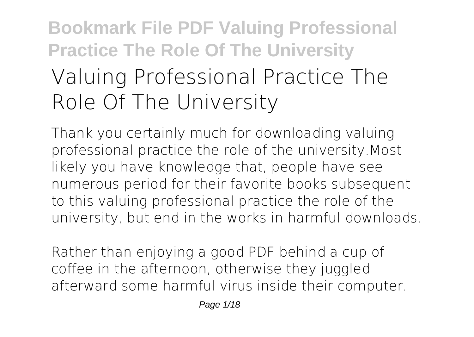# **Bookmark File PDF Valuing Professional Practice The Role Of The University Valuing Professional Practice The Role Of The University**

Thank you certainly much for downloading **valuing professional practice the role of the university**.Most likely you have knowledge that, people have see numerous period for their favorite books subsequent to this valuing professional practice the role of the university, but end in the works in harmful downloads.

Rather than enjoying a good PDF behind a cup of coffee in the afternoon, otherwise they juggled afterward some harmful virus inside their computer.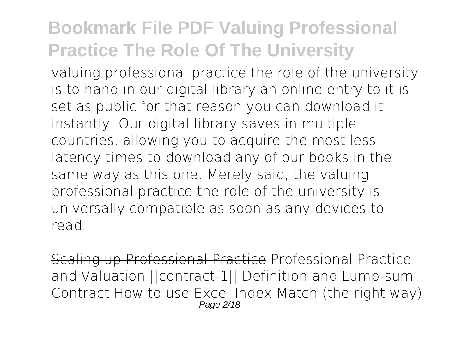**valuing professional practice the role of the university** is to hand in our digital library an online entry to it is set as public for that reason you can download it instantly. Our digital library saves in multiple countries, allowing you to acquire the most less latency times to download any of our books in the same way as this one. Merely said, the valuing professional practice the role of the university is universally compatible as soon as any devices to read.

Scaling up Professional Practice **Professional Practice and Valuation ||contract-1|| Definition and Lump-sum Contract** How to use Excel Index Match (the right way) Page 2/18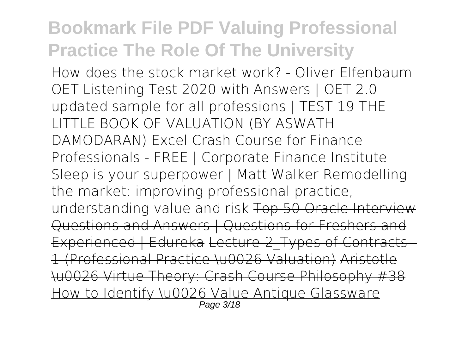*How does the stock market work? - Oliver Elfenbaum* OET Listening Test 2020 with Answers | OET 2.0 updated sample for all professions | TEST 19 *THE LITTLE BOOK OF VALUATION (BY ASWATH DAMODARAN) Excel Crash Course for Finance Professionals - FREE | Corporate Finance Institute Sleep is your superpower | Matt Walker* **Remodelling the market: improving professional practice, understanding value and risk** Top 50 Oracle Interview Questions and Answers | Questions for Freshers and Experienced | Edureka Lecture-2 Types of Contracts -1 (Professional Practice \u0026 Valuation) Aristotle \u0026 Virtue Theory: Crash Course Philosophy #38 How to Identify \u0026 Value Antique Glassware Page 3/18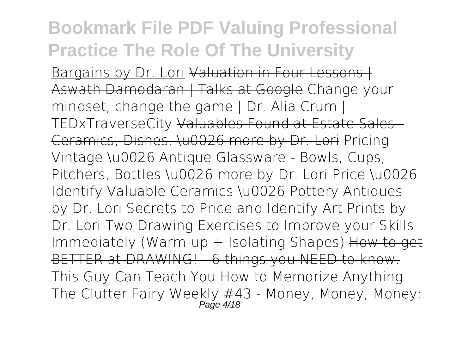Bargains by Dr. Lori Valuation in Four Lessons I Aswath Damodaran | Talks at Google Change your mindset, change the game | Dr. Alia Crum | TEDxTraverseCity Valuables Found at Estate Sales - Ceramics, Dishes, \u0026 more by Dr. Lori *Pricing Vintage \u0026 Antique Glassware - Bowls, Cups, Pitchers, Bottles \u0026 more by Dr. Lori Price \u0026 Identify Valuable Ceramics \u0026 Pottery Antiques by Dr. Lori* Secrets to Price and Identify Art Prints by Dr. Lori **Two Drawing Exercises to Improve your Skills Immediately (Warm-up + Isolating Shapes)** How to get BETTER at DRAWING! - 6 things you NEED to know.

This Guy Can Teach You How to Memorize Anything The Clutter Fairy Weekly #43 - Money, Money, Money: Page 4/18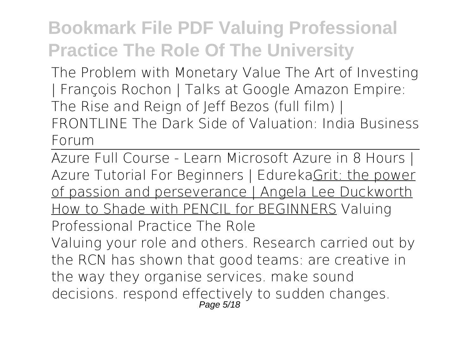The Problem with Monetary Value **The Art of Investing | François Rochon | Talks at Google Amazon Empire: The Rise and Reign of Jeff Bezos (full film) | FRONTLINE The Dark Side of Valuation: India Business Forum**

Azure Full Course - Learn Microsoft Azure in 8 Hours | Azure Tutorial For Beginners | EdurekaGrit: the power of passion and perseverance | Angela Lee Duckworth How to Shade with PENCIL for BEGINNERS *Valuing Professional Practice The Role* Valuing your role and others. Research carried out by the RCN has shown that good teams: are creative in the way they organise services. make sound decisions. respond effectively to sudden changes. Page 5/18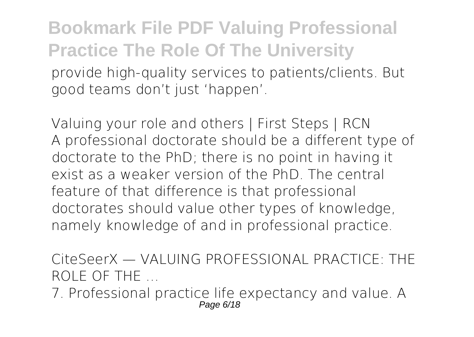**Bookmark File PDF Valuing Professional Practice The Role Of The University** provide high-quality services to patients/clients. But good teams don't just 'happen'.

*Valuing your role and others | First Steps | RCN* A professional doctorate should be a different type of doctorate to the PhD; there is no point in having it exist as a weaker version of the PhD. The central feature of that difference is that professional doctorates should value other types of knowledge, namely knowledge of and in professional practice.

*CiteSeerX — VALUING PROFESSIONAL PRACTICE: THE ROLE OF THE ...*

7. Professional practice life expectancy and value. A Page 6/18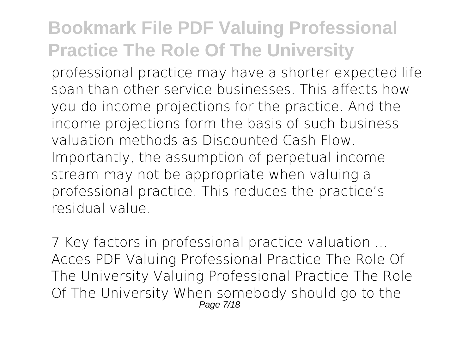professional practice may have a shorter expected life span than other service businesses. This affects how you do income projections for the practice. And the income projections form the basis of such business valuation methods as Discounted Cash Flow. Importantly, the assumption of perpetual income stream may not be appropriate when valuing a professional practice. This reduces the practice's residual value.

*7 Key factors in professional practice valuation ...* Acces PDF Valuing Professional Practice The Role Of The University Valuing Professional Practice The Role Of The University When somebody should go to the Page 7/18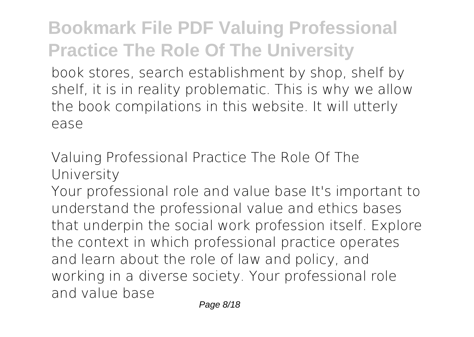book stores, search establishment by shop, shelf by shelf, it is in reality problematic. This is why we allow the book compilations in this website. It will utterly ease

*Valuing Professional Practice The Role Of The University*

Your professional role and value base It's important to understand the professional value and ethics bases that underpin the social work profession itself. Explore the context in which professional practice operates and learn about the role of law and policy, and working in a diverse society. Your professional role and value base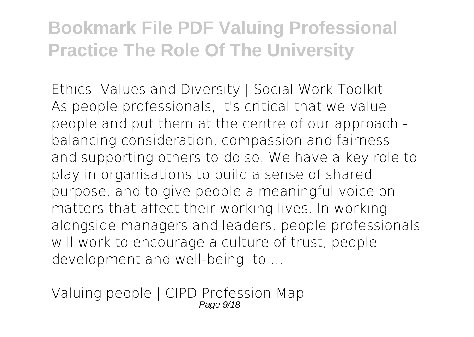*Ethics, Values and Diversity | Social Work Toolkit* As people professionals, it's critical that we value people and put them at the centre of our approach balancing consideration, compassion and fairness, and supporting others to do so. We have a key role to play in organisations to build a sense of shared purpose, and to give people a meaningful voice on matters that affect their working lives. In working alongside managers and leaders, people professionals will work to encourage a culture of trust, people development and well-being, to ...

*Valuing people | CIPD Profession Map* Page 9/18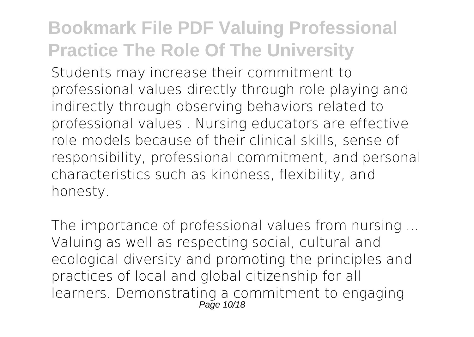Students may increase their commitment to professional values directly through role playing and indirectly through observing behaviors related to professional values . Nursing educators are effective role models because of their clinical skills, sense of responsibility, professional commitment, and personal characteristics such as kindness, flexibility, and honesty.

*The importance of professional values from nursing ...* Valuing as well as respecting social, cultural and ecological diversity and promoting the principles and practices of local and global citizenship for all learners. Demonstrating a commitment to engaging  $P$ age  $10/18$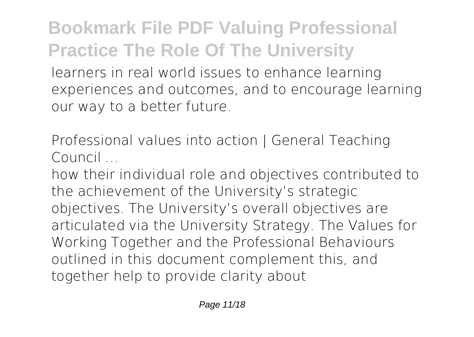learners in real world issues to enhance learning experiences and outcomes, and to encourage learning our way to a better future.

*Professional values into action | General Teaching Council ...*

how their individual role and objectives contributed to the achievement of the University's strategic objectives. The University's overall objectives are articulated via the University Strategy. The Values for Working Together and the Professional Behaviours outlined in this document complement this, and together help to provide clarity about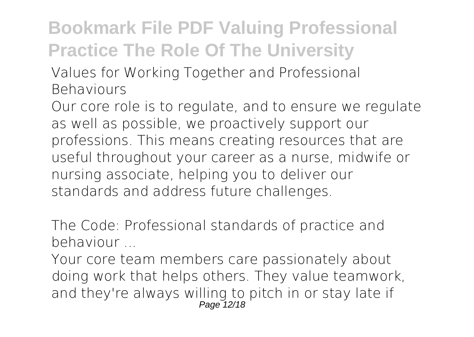*Values for Working Together and Professional Behaviours*

Our core role is to regulate, and to ensure we regulate as well as possible, we proactively support our professions. This means creating resources that are useful throughout your career as a nurse, midwife or nursing associate, helping you to deliver our standards and address future challenges.

*The Code: Professional standards of practice and behaviour ...*

Your core team members care passionately about doing work that helps others. They value teamwork, and they're always willing to pitch in or stay late if Page 12/18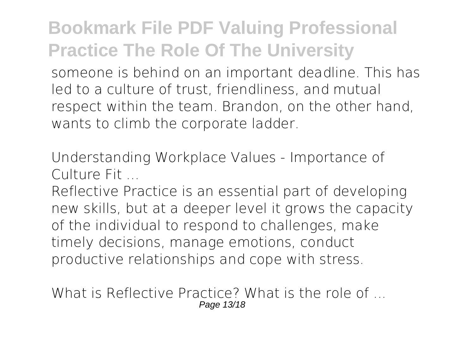someone is behind on an important deadline. This has led to a culture of trust, friendliness, and mutual respect within the team. Brandon, on the other hand, wants to climb the corporate ladder.

*Understanding Workplace Values - Importance of Culture Fit ...*

Reflective Practice is an essential part of developing new skills, but at a deeper level it grows the capacity of the individual to respond to challenges, make timely decisions, manage emotions, conduct productive relationships and cope with stress.

*What is Reflective Practice? What is the role of ...* Page 13/18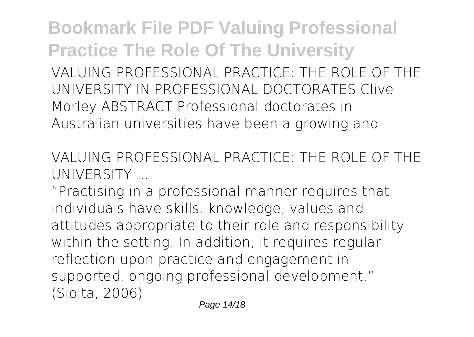**Bookmark File PDF Valuing Professional Practice The Role Of The University** VALUING PROFESSIONAL PRACTICE: THE ROLE OF THE UNIVERSITY IN PROFESSIONAL DOCTORATES Clive Morley ABSTRACT Professional doctorates in Australian universities have been a growing and

*VALUING PROFESSIONAL PRACTICE: THE ROLE OF THE UNIVERSITY ...*

"Practising in a professional manner requires that individuals have skills, knowledge, values and attitudes appropriate to their role and responsibility within the setting. In addition, it requires regular reflection upon practice and engagement in supported, ongoing professional development." (Siolta, 2006)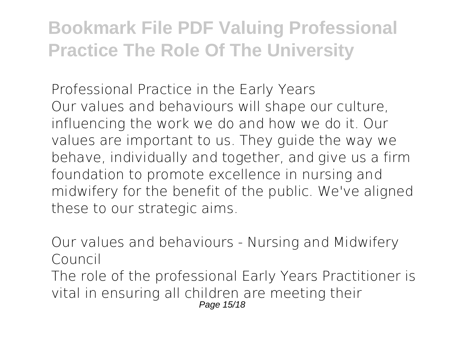*Professional Practice in the Early Years* Our values and behaviours will shape our culture, influencing the work we do and how we do it. Our values are important to us. They guide the way we behave, individually and together, and give us a firm foundation to promote excellence in nursing and midwifery for the benefit of the public. We've aligned these to our strategic aims.

*Our values and behaviours - Nursing and Midwifery Council* The role of the professional Early Years Practitioner is vital in ensuring all children are meeting their Page 15/18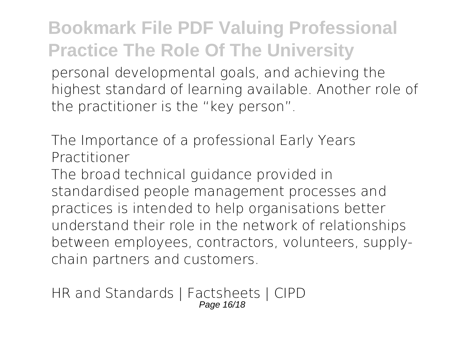personal developmental goals, and achieving the highest standard of learning available. Another role of the practitioner is the "key person".

*The Importance of a professional Early Years Practitioner*

The broad technical guidance provided in standardised people management processes and practices is intended to help organisations better understand their role in the network of relationships between employees, contractors, volunteers, supplychain partners and customers.

*HR and Standards | Factsheets | CIPD* Page 16/18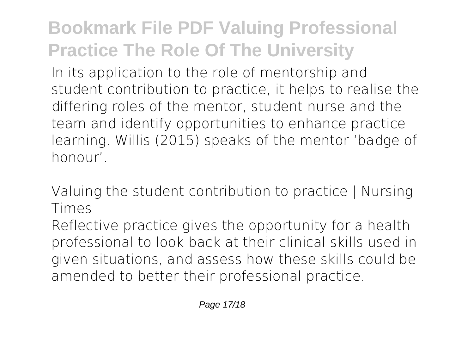In its application to the role of mentorship and student contribution to practice, it helps to realise the differing roles of the mentor, student nurse and the team and identify opportunities to enhance practice learning. Willis (2015) speaks of the mentor 'badge of honour'.

*Valuing the student contribution to practice | Nursing Times*

Reflective practice gives the opportunity for a health professional to look back at their clinical skills used in given situations, and assess how these skills could be amended to better their professional practice.